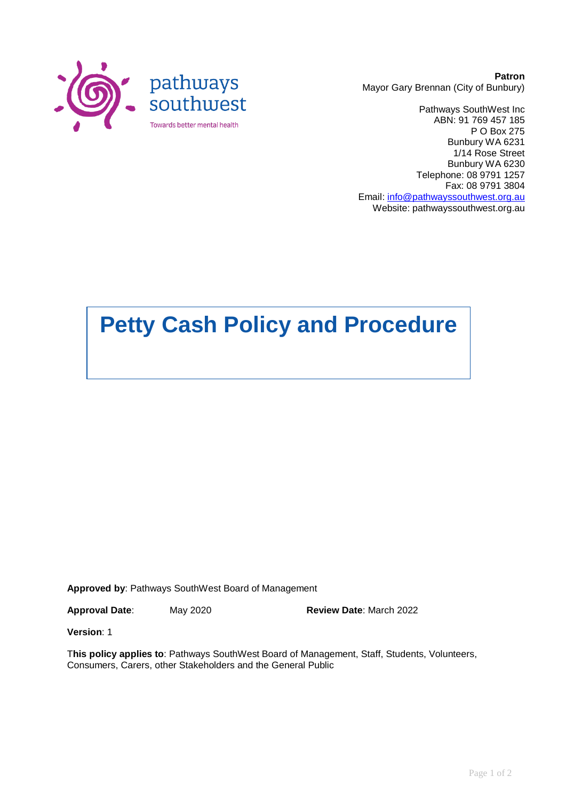

**Patron** Mayor Gary Brennan (City of Bunbury)

Pathways SouthWest Inc ABN: 91 769 457 185 P O Box 275 Bunbury WA 6231 1/14 Rose Street Bunbury WA 6230 Telephone: 08 9791 1257 Fax: 08 9791 3804 Email: [info@pathwayssouthwest.org.au](mailto:info@pathwayssouthwest.org.au) Website: pathwayssouthwest.org.au

# **Petty Cash Policy and Procedure**

**Approved by**: Pathways SouthWest Board of Management

**Approval Date**: May 2020 **Review Date**: March 2022

**Version**: 1

T**his policy applies to**: Pathways SouthWest Board of Management, Staff, Students, Volunteers, Consumers, Carers, other Stakeholders and the General Public